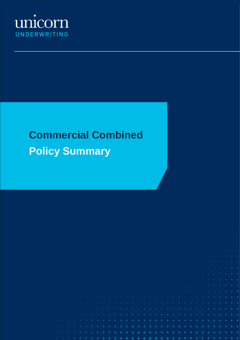

# **Commercial Combined Policy Summary**

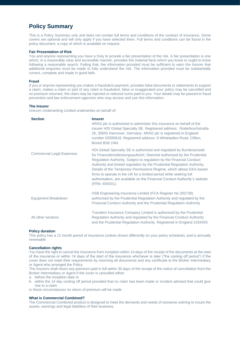# **Policy Summary**

This is a Policy Summary only and does not contain full terms and conditions of the contract of insurance. Some covers are optional and will only apply if you have selected them. Full terms and conditions can be found in the policy document, a copy of which is available on request.

## **Fair Presentation of Risk**

You and anyone representing you have a Duty to provide a fair presentation of the risk. A fair presentation is one which, in a reasonably clear and accessible manner, provides the material facts which you know or ought to know following a reasonable search. Failing that, the information provided must be sufficient to warn the Insurer that additional enquiries must be made to fully understand the risk. The information provided must be substantially correct, complete and made in good faith.

## **Fraud**

If you or anyone representing you makes a fraudulent payment, provides false documents or statements to support a claim, makes a claim or part of any claim is fraudulent, false or exaggerated your policy may be cancelled and no premium returned, the claim may be rejected or reduced sums paid to you. Your details may be passed to fraud prevention and law enforcement agencies who may access and use this information.

## **The Insurer**

Unicorn Underwriting Limited underwrites on behalf of:

| <b>Section</b>                   | <b>Insurer</b><br>ARAG plc is authorised to administer this insurance on behalf of the<br>insurer HDI Global Specialty SE. Registered address: Roderbruchstraße<br>26, 30655 Hannover, Germany. ARAG plc is registered in England<br>number 02585818. Registered address: 9 Whiteladies Road, Clifton,<br>Bristol BS8 1NN.                                                                                                                                                                                                                      |
|----------------------------------|-------------------------------------------------------------------------------------------------------------------------------------------------------------------------------------------------------------------------------------------------------------------------------------------------------------------------------------------------------------------------------------------------------------------------------------------------------------------------------------------------------------------------------------------------|
| <b>Commercial Legal Expenses</b> | HDI Global Specialty SE is authorised and regulated by Bundesanstalt<br>für Finanzdienstleistungsaufsicht. Deemed authorised by the Prudential<br>Regulation Authority. Subject to regulation by the Financial Conduct<br>Authority and limited regulation by the Prudential Regulation Authority.<br>Details of the Temporary Permissions Regime, which allows EEA-based<br>firms to operate in the UK for a limited period while seeking full<br>authorisation, are available on the Financial Conduct Authority's website.<br>(FRN: 659331). |
| <b>Equipment Breakdown</b>       | HSB Engineering Insurance Limited (FCA Register No 202738)<br>authorised by the Prudential Regulation Authority and regulated by the<br>Financial Conduct Authority and the Prudential Regulation Authority                                                                                                                                                                                                                                                                                                                                     |
| All other sections               | Travelers Insurance Company Limited is authorised by the Prudential<br>Regulation Authority and regulated by the Financial Conduct Authority<br>and the Prudential Regulation Authority. Registered in England 1034343                                                                                                                                                                                                                                                                                                                          |

## **Policy duration**

This policy has a 12 month period of insurance (unless shown differently on your policy schedule), and is annually renewable.

## **Cancellation rights**

You have the right to cancel the insurance from inception within 14 days of the receipt of the documents at the start of the insurance or within 14 days of the start of the insurance whichever is later ("the cooling off period") if the cover does not meet their requirements by returning all documents and any certificate to the Broker Intermediary or Agent who arranged the Policy

The Insurers shall return any premium paid in full within 30 days of the receipt of the notice of cancellation from the Broker Intermediary or Agent if the cover is cancelled either

a. before the inception date or

b. within the 14 day cooling off period provided that no claim has been made or incident advised that could give rise to a claim

in these circumstances no return of premium will be made

## **What is Commercial Combined?**

The Commercial Combined product is designed to meet the demands and needs of someone wishing to insure the assets, earnings and legal liabilities of their business.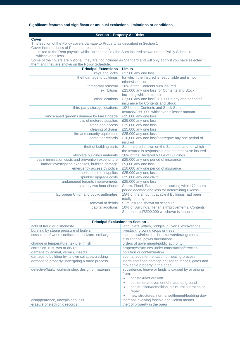## **Significant features and significant or unusual exclusions, limitations or conditions**

| <b>Section 1 Property All Risks</b>                                                                         |                                                                                                      |  |
|-------------------------------------------------------------------------------------------------------------|------------------------------------------------------------------------------------------------------|--|
| <b>Cover</b>                                                                                                |                                                                                                      |  |
| This Section of the Policy covers damage to Property as described in Section 1                              |                                                                                                      |  |
| Cover includes Loss of Rent as a result of damage.                                                          |                                                                                                      |  |
| - Limited to the Rent payable whilst uninhabitable / the Sum Insured shown on the Policy Schedule           |                                                                                                      |  |
| whichever is less                                                                                           |                                                                                                      |  |
| Some of the covers are optional, they are not included as Standard and will only apply if you have selected |                                                                                                      |  |
| them and they are shown on the Policy Schedule.                                                             |                                                                                                      |  |
| <b>Principal Extensions</b>                                                                                 | <b>Limits</b>                                                                                        |  |
| keys and locks                                                                                              | £2,500 any one loss                                                                                  |  |
| theft damage to buildings                                                                                   | for which the Insured is responsible and is not                                                      |  |
|                                                                                                             | otherwise insured                                                                                    |  |
| temporary removal                                                                                           | 10% of the Contents sum insured                                                                      |  |
| exhibitions                                                                                                 | £25,000 any one loss for Contents and Stock                                                          |  |
|                                                                                                             | including whilst in transit                                                                          |  |
| other locations                                                                                             | £2,500 any one loss/£10,000 in any one period of                                                     |  |
|                                                                                                             | insurance for Contents and Stock                                                                     |  |
| third party storage locations                                                                               | 10% of the Contents and Stock Sum                                                                    |  |
|                                                                                                             | Insured/£250,000 whichever is lesser amount                                                          |  |
| landscaped gardens damage by Fire Brigade                                                                   | £25,000 any one loss                                                                                 |  |
| loss of metered supplies                                                                                    | £25,000 any one loss                                                                                 |  |
| trace and access                                                                                            | £25,000 any one loss                                                                                 |  |
| clearing of drains                                                                                          | £25,000 any one loss                                                                                 |  |
| fire and security equipment                                                                                 | £25,000 any one loss                                                                                 |  |
| computer records                                                                                            | £10,000 any one loss/aggregate any one period of                                                     |  |
|                                                                                                             | insured                                                                                              |  |
| theft of building parts                                                                                     | Sum Insured shown on the Schedule and for which                                                      |  |
|                                                                                                             | the Insured is responsible and not otherwise insured                                                 |  |
| obsolete buildings materials                                                                                | 10% of the Declared Value of Buildings                                                               |  |
| loss minimisation costs and prevention expenditure                                                          | £25,000 any one period of insurance                                                                  |  |
| further investigation expenses, building damage                                                             | £5,000 any one loss                                                                                  |  |
| emergency access by police                                                                                  | £10,000 any one period of insurance                                                                  |  |
| unauthorised use of supplies                                                                                | £25,000 any one loss                                                                                 |  |
| sprinkler upgrade costs                                                                                     | £25,000 any one claim                                                                                |  |
| undamaged tenants improvements                                                                              | £25,000 any one loss                                                                                 |  |
| seventy two hour clause                                                                                     | Storm, Flood, Earthquake: occurring within 72 hours<br>period deemed one loss for determining Excess |  |
| European Union and public authorities                                                                       | 15% of the amount payable if Buildings had been                                                      |  |
|                                                                                                             | totally destroyed                                                                                    |  |
| removal of debris                                                                                           | Sum insured shown on schedule                                                                        |  |
| capital additions                                                                                           | 10% of Buildings, Tenants Improvements, Contents                                                     |  |
|                                                                                                             | Sum Insured/£500,000 whichever is lesser amount                                                      |  |

| <b>Principal Exclusions to Section 1</b>          |                                                                                                                                                                                                                                                             |
|---------------------------------------------------|-------------------------------------------------------------------------------------------------------------------------------------------------------------------------------------------------------------------------------------------------------------|
| acts of fraud or dishonesty                       | land, piers, jetties, bridges, culverts, excavations                                                                                                                                                                                                        |
| bursting by steam pressure of boilers             | livestock, growing crops or trees                                                                                                                                                                                                                           |
| cessation of work, confiscation, seizure, embargo | mechanical/electrical breakdown/derangement/<br>disturbance, power fluctuations                                                                                                                                                                             |
| change in temperature, texture, finish            | orders of government/public authority                                                                                                                                                                                                                       |
| corrosion, rust, wet or dry rot                   | property/structures under construction/erection                                                                                                                                                                                                             |
| damage by animal, vermin, insects                 | pollution or contamination                                                                                                                                                                                                                                  |
| damage to building by its own collapse/cracking   | spontaneous fermentation or heating process                                                                                                                                                                                                                 |
| damage to property undergoing a trade process     | storm and flood damage caused to fences, gates and<br>moveable property in the open                                                                                                                                                                         |
| defective/faulty workmanship, design or materials | subsidence, heave or landslip caused by or arising<br>from:<br>coastal/river erosion<br>settlement/movement of made up ground<br>$\bullet$<br>construction/demolition, structural alteration or<br>repair<br>new structures; normal settlement/bedding down |
| disappearance, unexplained loss                   | theft not involving forcible and violent means                                                                                                                                                                                                              |
| erasure of electronic records                     | theft of property in the open                                                                                                                                                                                                                               |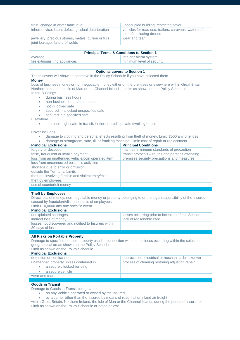| frost, change in water table level                  | unoccupied building; restricted cover                                               |
|-----------------------------------------------------|-------------------------------------------------------------------------------------|
| inherent vice, latent defect, gradual deterioration | vehicles for road use, trailers, caravans, watercraft,<br>aircraft including drones |
| jewellery, precious stones, metals, bullion or furs | wear and tear                                                                       |
| joint leakage, failure of welds                     |                                                                                     |

| <b>Principal Terms &amp; Conditions to Section 1</b> |                           |  |
|------------------------------------------------------|---------------------------|--|
| average                                              | intruder alarm system     |  |
| fire extinguishing appliances                        | minimum level of security |  |

#### **Optional covers to Section 1**

These covers will show as operative in the Policy Schedule if you have selected them **Money** Loss of business money or non-negotiable money either on the premises or elsewhere within Great Britain, Northern Ireland, the Isle of Man or the Channel Islands. Limits as shown on the Policy Schedule. In the Buildings • during business hours • non-business hours/unattended • not in locked safe

- secured in a locked unspecified safe
- secured in a specified safe

**Elsewhere** 

• in a bank night safe, in transit, in the insured's private dwelling house

Cover includes

- damage to clothing and personal effects resulting from theft of money. Limit: £500 any one loss
- damage to strongroom, safe, till or franking machine. Limit: cost of repair or replacement

| <b>Principal Exclusions</b>                         | <b>Principal Conditions</b>                      |
|-----------------------------------------------------|--------------------------------------------------|
| forgery or deception                                | maintain minimum standards of precaution         |
| false, fraudulent or invalid payment                | transit protocols – routes and persons attending |
| loss from an unattended vehicle/coin operated item  | premises security precautions and measures       |
| loss from unconnected business activities           |                                                  |
| shortage due to error or omission                   |                                                  |
| outside the Territorial Limits                      |                                                  |
| theft not involving forcible and violent entry/exit |                                                  |
| theft by employees                                  |                                                  |
| use of counterfeit money                            |                                                  |

## **Theft by Employees**

Direct loss of money, non-negotiable money or property belonging to or the legal responsibility of the Insured caused by fraudulent/dishonest acts of employees.

Limit £10,0000 any one specific event

| <b>Principal Exclusions</b>                                              |                                                     |
|--------------------------------------------------------------------------|-----------------------------------------------------|
| unexplained shortages                                                    | losses occurring prior to inception of this Section |
| indirect loss of money                                                   | lack of reasonable care                             |
| losses not discovered and notified to Insurers within<br>30 days of loss |                                                     |
|                                                                          |                                                     |

**All Risks on Portable Property** 

Damage to specified portable property used in connection with the business occurring within the selected geographical areas shown on the Policy Schedule

#### Limit as shown on the Policy Schedule **Principal Exclusions** detention or confiscation depreciation, electrical or mechanical breakdown unattended property unless contained in • a securely locked building • a secure vehicle process of cleaning restoring adjusting repair wear and tear

## **Goods in Transit**

Damage to Goods in Transit being carried

- on any Vehicle operated or owned by the Insured
- by a carrier other than the Insured by means of road, rail or inland air freight

within Great Britain, Northern Ireland, the Isle of Man or the Channel Islands during the period of insurance Limit as shown on the Policy Schedule or noted below: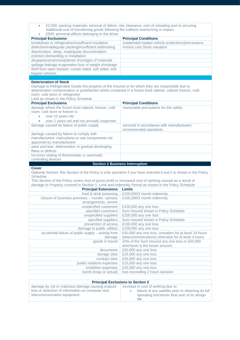| £2,500: packing materials, removal of debris, site clearance, cost of reloading and re-securing.<br>٠<br>Additional cost of transferring goods following fire collision overturning or impact.<br>£500: personal effects belonging to the driver                                                                                |                                                                                                                      |  |
|---------------------------------------------------------------------------------------------------------------------------------------------------------------------------------------------------------------------------------------------------------------------------------------------------------------------------------|----------------------------------------------------------------------------------------------------------------------|--|
| <b>Principal Exclusions</b>                                                                                                                                                                                                                                                                                                     | <b>Principal Conditions</b>                                                                                          |  |
| breakdown or refrigeration/insufficient insulation                                                                                                                                                                                                                                                                              | unattended loaded vehicle protections/precautions                                                                    |  |
| defective/inadequate packing/insufficient addressing                                                                                                                                                                                                                                                                            | invoice cost Stock valuation                                                                                         |  |
| depreciation, delay, inadequate documentation                                                                                                                                                                                                                                                                                   |                                                                                                                      |  |
| erection dismantling or installation                                                                                                                                                                                                                                                                                            |                                                                                                                      |  |
| disappearance/unexplained shortages of materials                                                                                                                                                                                                                                                                                |                                                                                                                      |  |
| spillage leakage evaporation loss of weight shrinkage                                                                                                                                                                                                                                                                           |                                                                                                                      |  |
| theft from open backed, curtain sided, soft sided, soft                                                                                                                                                                                                                                                                         |                                                                                                                      |  |
| topped vehicles                                                                                                                                                                                                                                                                                                                 |                                                                                                                      |  |
|                                                                                                                                                                                                                                                                                                                                 |                                                                                                                      |  |
| <b>Deterioration of Stock</b><br>Damage to Refrigerated Goods the property of the Insured or for which they are responsible due to<br>deterioration contamination or putrefaction whilst contained in a frozen food cabinet, cabinet freezer, cold<br>room, cold store or refrigerator<br>Limit as shown in the Policy Schedule |                                                                                                                      |  |
| <b>Principal Exclusions</b>                                                                                                                                                                                                                                                                                                     | <b>Principal Conditions</b>                                                                                          |  |
| damage where the frozen food cabinet, freezer, cold                                                                                                                                                                                                                                                                             | reasonable precautions for the safety                                                                                |  |
| room, cold store or freezer is                                                                                                                                                                                                                                                                                                  |                                                                                                                      |  |
| over 10 years old<br>$\bullet$                                                                                                                                                                                                                                                                                                  |                                                                                                                      |  |
| over 2 years old and not annually inspected                                                                                                                                                                                                                                                                                     |                                                                                                                      |  |
| damage caused by failure of public supply                                                                                                                                                                                                                                                                                       | serviced in accordance with manufacturers'<br>recommended standards                                                  |  |
| damage caused by failure to comply with                                                                                                                                                                                                                                                                                         |                                                                                                                      |  |
| manufacturers' instructions or use components not                                                                                                                                                                                                                                                                               |                                                                                                                      |  |
| approved by manufacturers'                                                                                                                                                                                                                                                                                                      |                                                                                                                      |  |
| wear and tear, deterioration or gradual developing                                                                                                                                                                                                                                                                              |                                                                                                                      |  |
| flaws or defects                                                                                                                                                                                                                                                                                                                |                                                                                                                      |  |
|                                                                                                                                                                                                                                                                                                                                 |                                                                                                                      |  |
| incorrect setting of thermostatic or automatic                                                                                                                                                                                                                                                                                  |                                                                                                                      |  |
| controlling devices                                                                                                                                                                                                                                                                                                             |                                                                                                                      |  |
| <b>Cover</b>                                                                                                                                                                                                                                                                                                                    | <b>Section 2 Business Interruption</b>                                                                               |  |
| <b>Schedule</b>                                                                                                                                                                                                                                                                                                                 | Optional Section: this Section of the Policy is only operative if you have selected it and it is shown in the Policy |  |
| This Section of the Policy covers loss of gross profit or increased cost of working caused as a result of                                                                                                                                                                                                                       |                                                                                                                      |  |
| damage to Property covered in Section 1. Limit and Indemnity Period as shown in the Policy Schedule                                                                                                                                                                                                                             |                                                                                                                      |  |
| <b>Principal Extensions</b>                                                                                                                                                                                                                                                                                                     | <b>Limits</b>                                                                                                        |  |
| food & drink poisoning                                                                                                                                                                                                                                                                                                          | £100,000/3 month indemnity                                                                                           |  |
| closure of business premises - murder, sanitary                                                                                                                                                                                                                                                                                 | £100,000/3 month indemnity                                                                                           |  |
| arrangements, vermin                                                                                                                                                                                                                                                                                                            |                                                                                                                      |  |
| unspecified customers                                                                                                                                                                                                                                                                                                           | £100,000 any one loss                                                                                                |  |
| specified customers                                                                                                                                                                                                                                                                                                             | Sum Insured shown in Policy Schedule                                                                                 |  |
| unspecified suppliers                                                                                                                                                                                                                                                                                                           | £100,000 any one loss                                                                                                |  |
| specified suppliers                                                                                                                                                                                                                                                                                                             | Sum Insured shown in Policy Schedule                                                                                 |  |
| prevention of access                                                                                                                                                                                                                                                                                                            | £100,000 any one loss                                                                                                |  |
| damage to public utilities                                                                                                                                                                                                                                                                                                      | £100,000 any one loss                                                                                                |  |
| accidental failure of public supply - arising from<br>damage                                                                                                                                                                                                                                                                    | £50,000 any one loss, cessation for at least 24 hours<br>(telecommunications) otherwise for at least 4 hours         |  |
| goods in transit                                                                                                                                                                                                                                                                                                                | 10% of the Sum Insured any one loss or £50,000                                                                       |  |
|                                                                                                                                                                                                                                                                                                                                 | whichever is the lesser amount                                                                                       |  |
| documents                                                                                                                                                                                                                                                                                                                       | £50,000 any one loss                                                                                                 |  |
| storage sites<br>contract sites                                                                                                                                                                                                                                                                                                 | £25,000 any one loss                                                                                                 |  |
| public relations expenses                                                                                                                                                                                                                                                                                                       | £50,000 any one loss<br>£10,000 any one loss                                                                         |  |
| exhibition expenses                                                                                                                                                                                                                                                                                                             | £25,000 any one loss                                                                                                 |  |
| bomb (hoax or actual)                                                                                                                                                                                                                                                                                                           | loss exceeding 2 hours duration                                                                                      |  |

| <b>Principal Exclusions to Section 2</b>                                                                                               |                                                                                                                                               |  |
|----------------------------------------------------------------------------------------------------------------------------------------|-----------------------------------------------------------------------------------------------------------------------------------------------|--|
| damage by riot or malicious damage causing erasure<br>loss or distortion of information on computer and<br>telecommunication equipment | increase in cost of working due to:<br>failure of any satellite prior to obtaining its full<br>operating function/in final year of its design |  |
|                                                                                                                                        | life                                                                                                                                          |  |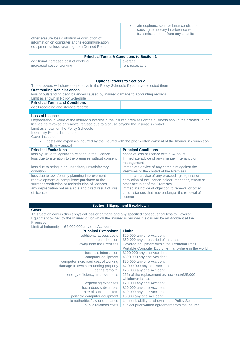|                                                                                                                                                   | atmospheric, solar or lunar conditions<br>causing temporary interference with<br>transmission to or from any satellite |
|---------------------------------------------------------------------------------------------------------------------------------------------------|------------------------------------------------------------------------------------------------------------------------|
| other erasure loss distortion or corruption of<br>information on computer and telecommunication<br>equipment unless resulting from Defined Perils |                                                                                                                        |

| <b>Principal Terms &amp; Conditions to Section 2</b> |                 |  |
|------------------------------------------------------|-----------------|--|
| additional increased cost of working                 | average         |  |
| increased cost of working                            | rent receivable |  |

| <b>Optional covers to Section 2</b>                                                                                                                                                            |                                                                                                                                                                                                                             |  |
|------------------------------------------------------------------------------------------------------------------------------------------------------------------------------------------------|-----------------------------------------------------------------------------------------------------------------------------------------------------------------------------------------------------------------------------|--|
| These covers will show as operative in the Policy Schedule if you have selected them                                                                                                           |                                                                                                                                                                                                                             |  |
| <b>Outstanding Debit Balances</b>                                                                                                                                                              |                                                                                                                                                                                                                             |  |
| loss of outstanding debit balances caused by insured damage to accounting records                                                                                                              |                                                                                                                                                                                                                             |  |
| Limit as shown in Policy Schedule                                                                                                                                                              |                                                                                                                                                                                                                             |  |
| <b>Principal Terms and Conditions</b>                                                                                                                                                          |                                                                                                                                                                                                                             |  |
| debit recording and storage records                                                                                                                                                            |                                                                                                                                                                                                                             |  |
| <b>Loss of Licence</b>                                                                                                                                                                         |                                                                                                                                                                                                                             |  |
| licence be revoked or renewal refused due to a cause beyond the Insured's control<br>Limit as shown on the Policy Schedule<br>Indemnity Period 12 months<br>Cover includes:<br>with any appeal | Depreciation in value of the Insured's interest in the insured premises or the business should the granted liquor<br>costs and expenses incurred by the Insured with the prior written consent of the Insurer in connection |  |
| <b>Principal Exclusions</b>                                                                                                                                                                    | <b>Principal Conditions</b>                                                                                                                                                                                                 |  |
| loss by virtue to legislation relating to the Licence                                                                                                                                          | notice of loss of licence within 24 hours                                                                                                                                                                                   |  |
| loss due to alteration to the premises without consent                                                                                                                                         | Immediate advice of any change in tenancy or<br>management                                                                                                                                                                  |  |
| loss due to being in an unsanitary/unsatisfactory<br>condition                                                                                                                                 | immediate advice of any complaint against the<br>Premises or the control of the Premises                                                                                                                                    |  |
| loss due to town/county planning improvement<br>redevelopment or compulsory purchase or the<br>surrender/reduction or redistribution of licences                                               | immediate advice of any proceedings against or<br>conviction of the licence-holder, manager, tenant or<br>other occupier of the Premises                                                                                    |  |
| any depreciation not as a sole and direct result of loss<br>of licence                                                                                                                         | immediate notice of objection to renewal or other<br>circumstances that may endanger the renewal of<br>licence                                                                                                              |  |
|                                                                                                                                                                                                |                                                                                                                                                                                                                             |  |

## **Section 3 Equipment Breakdown**

## **Cover**

This Section covers direct physical loss or damage and any specified consequential loss to Covered Equipment owned by the Insured or for which the Insured is responsible caused by an Accident at the Premises<br>Limit of Indo Limit of Indemnity is £5,000,000 any one Accident

| Limits                                             |
|----------------------------------------------------|
| £20,000 any one Accident                           |
| £50,000 any one period of insurance                |
| Covered equipment within the Territorial limits.   |
| Portable Computer Equipment anywhere in the world  |
| £100,000 any one Accident                          |
| £500,000 any one Accident                          |
| £50,000 any one Accident                           |
| £2,000,000 any one Accident                        |
| £25,000 any one Accident                           |
| 25% of the replacement as new cost/£25,000         |
| whichever is less                                  |
| £20,000 any one Accident                           |
| £10,000 any one Accident                           |
| £10,000 any one Accident                           |
| £5,000 any one Accident                            |
| Limit of Liability as shown in the Policy Schedule |
| subject prior written agreement from the Insurer   |
|                                                    |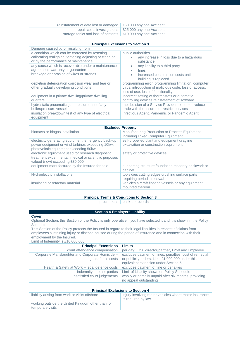| reinstatement of data lost or damaged   £50,000 any one Accident   |                                                              |
|--------------------------------------------------------------------|--------------------------------------------------------------|
|                                                                    | repair costs investigations $\vert$ £25,000 any one Accident |
| storage tanks and loss of contents $\mid$ £10,000 any one Accident |                                                              |

| <b>Principal Exclusions to Section 3</b>                                                                                                                                                                                                                                                 |                                                                                                                                                                              |
|------------------------------------------------------------------------------------------------------------------------------------------------------------------------------------------------------------------------------------------------------------------------------------------|------------------------------------------------------------------------------------------------------------------------------------------------------------------------------|
| Damage caused by or resulting from                                                                                                                                                                                                                                                       |                                                                                                                                                                              |
| a condition which can be corrected by resetting<br>calibrating realigning tightening adjusting or cleaning<br>or by the performance of maintenance<br>any cause which is recoverable under a maintenance<br>agreement, warranty or guarantee<br>breakage or abrasion of wires or strands | public authorities<br>any increase in loss due to a hazardous<br>substance<br>any liability to a third party<br>fines<br>increased construction costs until the<br>$\bullet$ |
| depletion deterioration corrosion wear and tear or<br>other gradually developing conditions                                                                                                                                                                                              | building is replaced<br>programming error, programming limitation, computer<br>virus, introduction of malicious code, loss of access,<br>loss of use, loss of functionality  |
| equipment in a private dwelling/private dwelling<br>quarters                                                                                                                                                                                                                             | incorrect setting of thermostats or automatic<br>controlling devices reinstatement of software                                                                               |
| hydrostatic pneumatic gas pressure test of any<br>boiler/pressure vessel                                                                                                                                                                                                                 | the decision of a Service Provider to stop or reduce<br>trade with the Insured or restrict services                                                                          |
| insulation breakdown test of any type of electrical<br>equipment                                                                                                                                                                                                                         | Infectious Agent, Pandemic or Pandemic Agent                                                                                                                                 |

| <b>Excluded Property</b>                                                                                                                         |                                                                                      |
|--------------------------------------------------------------------------------------------------------------------------------------------------|--------------------------------------------------------------------------------------|
| biomass or biogas installation                                                                                                                   | Manufacturing Production or Process Equipment<br>including linked Computer Equipment |
| electricity generating equipment, emergency back-up<br>power equipment or wind turbines exceeding 10kw,<br>photovoltaic equipment exceeding 50kw | self-propelled plant and equipment dragline<br>excavation or construction equipment  |
| electronic equipment used for research diagnostic<br>treatment experimental, medical or scientific purposes<br>valued (new) exceeding £30,000    | safety or protective devices                                                         |
| equipment manufactured by the Insured for sale                                                                                                   | supporting structure foundation masonry brickwork or<br>cabinet                      |
| Hydroelectric installations                                                                                                                      | tools dies cutting edges crushing surface parts<br>requiring periodic renewal        |
| insulating or refactory material                                                                                                                 | vehicles aircraft floating vessels or any equipment<br>mounted thereon               |

## **Principal Terms & Conditions to Section 3**

precautions back-up records

## **Section 4 Employers Liability**

#### **Cover**

Optional Section: this Section of the Policy is only operative if you have selected it and it is shown in the Policy **Schedule** 

This Section of the Policy protects the Insured in regard to their legal liabilities in respect of claims from employees sustaining injury or disease caused during the period of insurance and in connection with their employment by the Insured.

Limit of Indemnity is £10,000,000

| <b>Principal Extensions</b>                     | <b>Limits</b>                                          |
|-------------------------------------------------|--------------------------------------------------------|
| court attendance compensation                   | per day: £750 director/partner, £250 any Employee      |
| Corporate Manslaughter and Corporate Homicide - | excludes payment of fines, penalties, cost of remedial |
| legal defence costs                             | or publicity orders. Limit £1,000,000 under this and   |
|                                                 | equivalent extension under Section 5                   |
| Health & Safety at Work – legal defence costs   | excludes payment of fine or penalties                  |
| indemnity to other parties                      | Limit of Liability shown on Policy Schedule            |
| unsatisfied court judgements                    | wholly or partially unpaid after six months, providing |
|                                                 | no appeal outstanding                                  |

| <b>Principal Exclusions to Section 4</b>                              |                                                                             |
|-----------------------------------------------------------------------|-----------------------------------------------------------------------------|
| liability arising from work or visits offshore                        | injury involving motor vehicles where motor insurance<br>is required by law |
| working outside the United Kingdom other than for<br>temporary visits |                                                                             |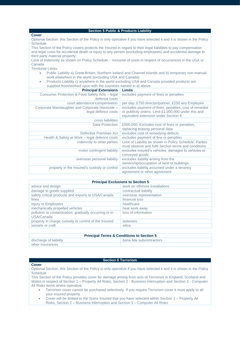| <b>Section 5 Public &amp; Products Liability</b>                                                                     |                                                         |
|----------------------------------------------------------------------------------------------------------------------|---------------------------------------------------------|
| <b>Cover</b>                                                                                                         |                                                         |
| Optional Section: this Section of the Policy is only operative if you have selected it and it is shown in the Policy |                                                         |
| <b>Schedule</b>                                                                                                      |                                                         |
| This Section of the Policy covers protects the Insured in regard to their legal liabilities to pay compensation      |                                                         |
| and legal costs for accidental death or injury to any person (excluding employees) and accidental damage to          |                                                         |
| third party material property.                                                                                       |                                                         |
| Limit of Indemnity as shown on Policy Schedule - inclusive of costs in respect of occurrences in the USA or          |                                                         |
| Canada                                                                                                               |                                                         |
| <b>Territorial Limits:</b>                                                                                           |                                                         |
| Public Liability a) Great Britain, Northern Ireland and Channel Islands and b) temporary non-manual<br>٠             |                                                         |
| work elsewhere in the world (excluding USA and Canada)                                                               |                                                         |
| Products Liability c) anywhere in the world excluding USA and Canada provided products are<br>۰                      |                                                         |
| supplied from/worked upon with the countries named in a) above                                                       |                                                         |
| <b>Principal Extensions</b>                                                                                          | <b>Limits</b>                                           |
| Consumer Protection & Food Safety Acts - legal                                                                       | excludes payment of fines or penalties                  |
| defence costs                                                                                                        |                                                         |
| court attendance compensation                                                                                        | per day: £750 director/partner, £250 any Employee       |
| Corporate Manslaughter and Corporate Homicide -                                                                      | excludes payment of fines, penalties, cost of remedial  |
| legal defence costs                                                                                                  | or publicity orders. Limit £1,000,000 under this and    |
|                                                                                                                      | equivalent extension under Section 4                    |
| cross liabilities                                                                                                    |                                                         |
| Data Protection                                                                                                      | £500,000. Excludes cost of fines or penalties,          |
|                                                                                                                      | replacing erasing personal data                         |
| Defective Premises Act                                                                                               | excludes cost of remedying defects                      |
| Health & Safety at Work - legal defence costs                                                                        | excludes payment of fine or penalties                   |
| indemnity to other parties                                                                                           | Limit of Liability as shown in Policy Schedule. Parties |
|                                                                                                                      | must observe and fulfil Section terms and conditions    |
| motor contingent liability                                                                                           | excludes insured's vehicles, damages to vehicles or     |
|                                                                                                                      | conveyed goods                                          |
| overseas personal liability                                                                                          | excludes liability arising from the                     |
|                                                                                                                      | ownership/occupation of land or buildings               |
| property in the Insured's custody or control                                                                         | excludes liability assumed under a tenancy              |
|                                                                                                                      | agreement or other agreement                            |

| <b>Principal Exclusions to Section 5</b>                            |                                |
|---------------------------------------------------------------------|--------------------------------|
| advice and design                                                   | work on offshore installations |
| damage to goods supplied                                            | contractual liability          |
| safety critical products and exports to USA/Canada                  | overseas representation        |
| fines                                                               | financial loss                 |
| Injury to Employees                                                 | healthcare                     |
| mechanically propelled vehicles                                     | heat work away                 |
| pollution or contamination: gradually occurring or in<br>USA/Canada | loss of information            |
| property in charge custody or control of the Insured                | asbestos                       |
| vessels or craft                                                    | silica                         |

| <b>Principal Terms &amp; Conditions to Section 5</b> |                          |
|------------------------------------------------------|--------------------------|
| discharge of liability                               | bona fide subcontractors |
| other insurances                                     |                          |

## **Section 6 Terrorism**

## **Cover**

Optional Section: this Section of the Policy is only operative if you have selected it and it is shown in the Policy **Schedule** 

This Section of the Policy provides cover for damage arising from acts of Terrorism in England, Scotland and Wales in respect of Section 1 – Property All Risks, Section 2 - Business Interruption and Section 3 - Computer All Risks items where operative

- Terrorism cover cannot be purchased selectively. If you require Terrorism cover it must apply to all your insured property.
- Cover will be limited to the Sums Insured that you have selected within Section 1 Property All Risks, Section 2 – Business Interruption and Section 3 – Computer All Risks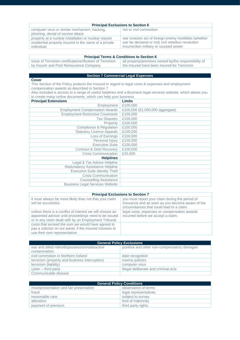| <b>Principal Exclusions to Section 6</b>                                            |                                                        |
|-------------------------------------------------------------------------------------|--------------------------------------------------------|
| computer virus or similar mechanism, hacking,<br>phishing, denial of service attack | riot or civil commotion                                |
| property at a nuclear installation or nuclear reactor                               | war invasion act of foreign enemy hostilities (whether |
| residential property insured in the name of a private                               | war be declared or not) civil rebellion revolution     |
| individual                                                                          | insurrection military or usurped power                 |

| <b>Principal Terms &amp; Conditions to Section 6</b>     |                                                      |
|----------------------------------------------------------|------------------------------------------------------|
| issue of Terrorism certificate/verification of Terrorism | all property/premises owned by/the responsibility of |
| by Insurer and Pool Reinsurance Company                  | the Insured have been insured for Terrorism          |

## **Section 7 Commercial Legal Expenses**

**Cover** This Section of the Policy protects the Insured in regard to legal costs & expenses and employment compensation awards as described in Section 7

Also included is access to a range of useful helplines and a Business legal services website, which allows you to create many online documents, which can help your business

| Limits                          |
|---------------------------------|
| £100,000                        |
| £100,000 (£1,000,000 aggregate) |
| £100,000                        |
| £100,000                        |
| £100,000                        |
| £100,000                        |
| £100,000                        |
| £100,000                        |
| £100,000                        |
| £100,000                        |
| £100,000                        |
| £25,000                         |
|                                 |
|                                 |
|                                 |
|                                 |
|                                 |
|                                 |
|                                 |
|                                 |

## **Principal Exclusions to Section 7**

| $\blacksquare$                                                                                                                                                             |                                                                                                                                                  |  |
|----------------------------------------------------------------------------------------------------------------------------------------------------------------------------|--------------------------------------------------------------------------------------------------------------------------------------------------|--|
| it must always be more likely than not that your claim<br>will be successful.                                                                                              | you must report your claim during the period of<br>insurance and as soon as you become aware of the<br>circumstances that could lead to a claim. |  |
| unless there is a conflict of interest we will choose an<br>appointed advisor until proceedings need to be issued<br>or in any claim dealt with by an Employment Tribunal. | legal costs, expenses or compensation awards<br>incurred before we accept a claim.                                                               |  |
| costs that exceed the sum we would have agreed to<br>pay a solicitor on our panel, if the insured chooses to<br>use their own representative                               |                                                                                                                                                  |  |

| <b>General Policy Exclusions</b>                                |                                             |
|-----------------------------------------------------------------|---------------------------------------------|
| war and allied risks/dispossession/radioactive<br>contamination | punitive and other non-compensatory damages |
| civil commotion in Northern Ireland                             | date recognition                            |
| terrorism (property and business interruption)                  | marine policies                             |
| terrorism (liability)                                           | computer virus                              |
| cyber – third party                                             | illegal deliberate and criminal acts        |
| Communicable disease                                            |                                             |

| <b>General Policy Conditions</b>        |                       |  |
|-----------------------------------------|-----------------------|--|
| misrepresentation and fair presentation | observance of terms   |  |
| fraud                                   | legal representatives |  |
| reasonable care                         | subject to survey     |  |
| alteration                              | limit of indemnity    |  |
| payment of premium                      | third party rights    |  |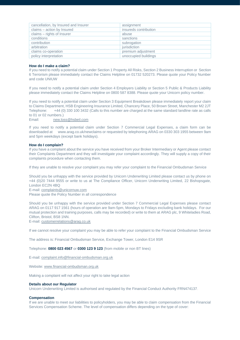| cancellation, by Insured and Insurer | assignment            |
|--------------------------------------|-----------------------|
| claims - action by Insured           | insureds contribution |
| claims - rights of Insurer           | abuse                 |
| conditions                           | sanctions             |
| contribution                         | subrogation           |
| arbitration                          | iurisdiction          |
| claims co-operation                  | premium adjustment    |
| policy interpretation                | unoccupied buildings  |

#### **How do I make a claim?**

If you need to notify a potential claim under Section 1 Property All Risks, Section 2 Business Interruption or Section 6 Terrorism please immediately contact the Claims Helpline on 01732 520273. Please quote your Policy Number and code UNIUW

If you need to notify a potential claim under Section 4 Employers Liability or Section 5 Public & Products Liability please immediately contact the Claims Helpline on 0800 587 8388. Please quote your Unicorn policy number.

If you need to notify a potential claim under Section 3 Equipment Breakdown please immediately report your claim to Claims Department, HSB Engineering Insurance Limited, Chancery Place, 50 Brown Street, Manchester M2 2JT Telephone: +44 (0) 330 100 3432 (Calls to this number are charged at the same standard landline rate as calls to 01 or 02 numbers.)

Email: [new.loss@hsbeil.com](mailto:new.loss@hsbeil.com)

If you need to notify a potential claim under Section 7 Commercial Legal Expenses, a claim form can be downloaded at www.arag.co.uk/newclaims or requested by telephoning ARAG on 0330 303 1955 between 9am and 5pm weekdays (except bank holidays).

## **How do I complain?**

If you have a complaint about the service you have received from your Broker Intermediary or Agent please contact their Complaints Department and they will investigate your complaint accordingly. They will supply a copy of their complaints procedure when contacting them.

If they are unable to resolve your complaint you may refer your complaint to the Financial Ombudsman Service

Should you be unhappy with the service provided by Unicorn Underwriting Limited please contact us by phone on +44 (0)20 7444 9555 or write to us at The Compliance Officer, Unicorn Underwriting Limited, 22 Bishopsgate, London EC2N 4BQ

E-mail[: complaints@unicornuw.com](mailto:complaints@unicornuw.com)

Please quote the Policy Number in all correspondence

Should you be unhappy with the service provided under Section 7 Commercial Legal Expenses please contact ARAG on 0117 917 1561 (hours of operation are 9am-5pm, Mondays to Fridays excluding bank holidays. For our mutual protection and training purposes, calls may be recorded) or write to them at ARAG plc, 9 Whiteladies Road, Clifton, Bristol, BS8 1NN.

E-mail[: customerrelations@arag.co.uk](mailto:customerrelations@arag.co.uk)

If we cannot resolve your complaint you may be able to refer your complaint to the Financial Ombudsman Service

The address is: Financial Ombudsman Service, Exchange Tower, London E14 9SR

Telephone: **0800 023 4567** or **0300 123 9 123** (from mobile or non BT lines)

E-mail[: complaint.info@financial-ombudsman.org.uk](mailto:complaint.info@financial-ombudsman.org.uk)

Website[: www.financial-ombudsman.org.uk](http://www.financial-ombudsman.org.uk/)

Making a complaint will not affect your right to take legal action

## **Details about our Regulator**

Unicorn Underwriting Limited is authorised and regulated by the Financial Conduct Authority FRN474137.

## **Compensation**

If we are unable to meet our liabilities to policyholders, you may be able to claim compensation from the Financial Services Compensation Scheme. The level of compensation differs depending on the type of cover: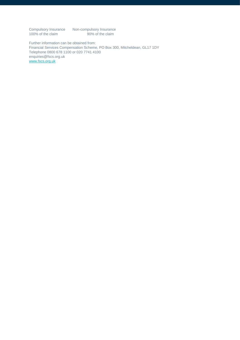Compulsory Insurance Non-compulsory Insurance 100% of the claim 90% of the claim

Further information can be obtained from: Financial Services Compensation Scheme, PO Box 300, Mitcheldean, GL17 1DY Telephone 0800 678 1100 or 020 7741 4100 enquiries@fscs.org.uk [www.fscs.org.uk](http://www.fscs.org.uk/)